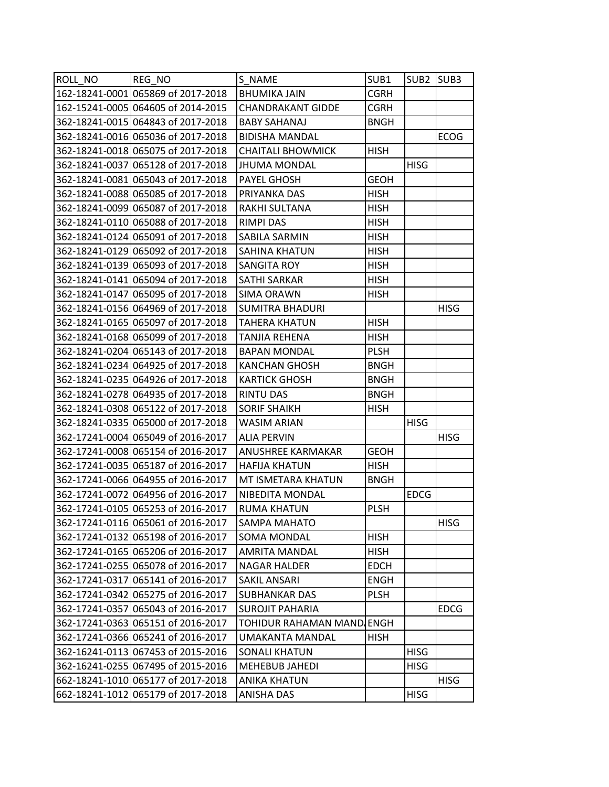| 162-18241-0001 065869 of 2017-2018<br><b>CGRH</b><br><b>BHUMIKA JAIN</b><br><b>CGRH</b><br><b>CHANDRAKANT GIDDE</b><br><b>BABY SAHANAJ</b><br><b>BNGH</b><br>362-18241-0016 065036 of 2017-2018<br><b>ECOG</b><br><b>BIDISHA MANDAL</b><br><b>CHAITALI BHOWMICK</b><br><b>HISH</b><br><b>JHUMA MONDAL</b><br><b>HISG</b><br>362-18241-0081 065043 of 2017-2018<br><b>GEOH</b><br>PAYEL GHOSH<br>362-18241-0088 065085 of 2017-2018<br>PRIYANKA DAS<br><b>HISH</b><br>362-18241-0099 065087 of 2017-2018<br><b>HISH</b><br>RAKHI SULTANA<br><b>HISH</b><br>RIMPI DAS<br>SABILA SARMIN<br><b>HISH</b><br>362-18241-0129 065092 of 2017-2018<br>SAHINA KHATUN<br><b>HISH</b><br>362-18241-0139 065093 of 2017-2018<br><b>SANGITA ROY</b><br><b>HISH</b><br>362-18241-0141 065094 of 2017-2018<br><b>HISH</b><br>SATHI SARKAR<br>SIMA ORAWN<br><b>HISH</b><br><b>HISG</b><br><b>SUMITRA BHADURI</b><br>362-18241-0165 065097 of 2017-2018<br><b>HISH</b><br>TAHERA KHATUN<br>362-18241-0168 065099 of 2017-2018<br><b>HISH</b><br>TANJIA REHENA<br>362-18241-0204 065143 of 2017-2018<br><b>PLSH</b><br><b>BAPAN MONDAL</b><br><b>KANCHAN GHOSH</b><br><b>BNGH</b><br><b>BNGH</b><br><b>KARTICK GHOSH</b><br>362-18241-0278 064935 of 2017-2018<br><b>BNGH</b><br>RINTU DAS<br>362-18241-0308 065122 of 2017-2018<br><b>SORIF SHAIKH</b><br>HISH<br>362-18241-0335 065000 of 2017-2018<br><b>HISG</b><br>WASIM ARIAN<br><b>HISG</b><br><b>ALIA PERVIN</b><br><b>GEOH</b><br>ANUSHREE KARMAKAR |
|-------------------------------------------------------------------------------------------------------------------------------------------------------------------------------------------------------------------------------------------------------------------------------------------------------------------------------------------------------------------------------------------------------------------------------------------------------------------------------------------------------------------------------------------------------------------------------------------------------------------------------------------------------------------------------------------------------------------------------------------------------------------------------------------------------------------------------------------------------------------------------------------------------------------------------------------------------------------------------------------------------------------------------------------------------------------------------------------------------------------------------------------------------------------------------------------------------------------------------------------------------------------------------------------------------------------------------------------------------------------------------------------------------------------------------------------------------------------------------------------|
| 162-15241-0005 064605 of 2014-2015                                                                                                                                                                                                                                                                                                                                                                                                                                                                                                                                                                                                                                                                                                                                                                                                                                                                                                                                                                                                                                                                                                                                                                                                                                                                                                                                                                                                                                                        |
| 362-18241-0015 064843 of 2017-2018<br>362-18241-0018 065075 of 2017-2018<br>362-18241-0037 065128 of 2017-2018<br>362-18241-0110 065088 of 2017-2018<br>362-18241-0124 065091 of 2017-2018<br>362-18241-0147 065095 of 2017-2018<br>362-18241-0156 064969 of 2017-2018<br>362-18241-0234 064925 of 2017-2018<br>362-18241-0235 064926 of 2017-2018<br>362-17241-0004 065049 of 2016-2017<br>362-17241-0008 065154 of 2016-2017                                                                                                                                                                                                                                                                                                                                                                                                                                                                                                                                                                                                                                                                                                                                                                                                                                                                                                                                                                                                                                                            |
|                                                                                                                                                                                                                                                                                                                                                                                                                                                                                                                                                                                                                                                                                                                                                                                                                                                                                                                                                                                                                                                                                                                                                                                                                                                                                                                                                                                                                                                                                           |
|                                                                                                                                                                                                                                                                                                                                                                                                                                                                                                                                                                                                                                                                                                                                                                                                                                                                                                                                                                                                                                                                                                                                                                                                                                                                                                                                                                                                                                                                                           |
|                                                                                                                                                                                                                                                                                                                                                                                                                                                                                                                                                                                                                                                                                                                                                                                                                                                                                                                                                                                                                                                                                                                                                                                                                                                                                                                                                                                                                                                                                           |
|                                                                                                                                                                                                                                                                                                                                                                                                                                                                                                                                                                                                                                                                                                                                                                                                                                                                                                                                                                                                                                                                                                                                                                                                                                                                                                                                                                                                                                                                                           |
|                                                                                                                                                                                                                                                                                                                                                                                                                                                                                                                                                                                                                                                                                                                                                                                                                                                                                                                                                                                                                                                                                                                                                                                                                                                                                                                                                                                                                                                                                           |
|                                                                                                                                                                                                                                                                                                                                                                                                                                                                                                                                                                                                                                                                                                                                                                                                                                                                                                                                                                                                                                                                                                                                                                                                                                                                                                                                                                                                                                                                                           |
|                                                                                                                                                                                                                                                                                                                                                                                                                                                                                                                                                                                                                                                                                                                                                                                                                                                                                                                                                                                                                                                                                                                                                                                                                                                                                                                                                                                                                                                                                           |
|                                                                                                                                                                                                                                                                                                                                                                                                                                                                                                                                                                                                                                                                                                                                                                                                                                                                                                                                                                                                                                                                                                                                                                                                                                                                                                                                                                                                                                                                                           |
|                                                                                                                                                                                                                                                                                                                                                                                                                                                                                                                                                                                                                                                                                                                                                                                                                                                                                                                                                                                                                                                                                                                                                                                                                                                                                                                                                                                                                                                                                           |
|                                                                                                                                                                                                                                                                                                                                                                                                                                                                                                                                                                                                                                                                                                                                                                                                                                                                                                                                                                                                                                                                                                                                                                                                                                                                                                                                                                                                                                                                                           |
|                                                                                                                                                                                                                                                                                                                                                                                                                                                                                                                                                                                                                                                                                                                                                                                                                                                                                                                                                                                                                                                                                                                                                                                                                                                                                                                                                                                                                                                                                           |
|                                                                                                                                                                                                                                                                                                                                                                                                                                                                                                                                                                                                                                                                                                                                                                                                                                                                                                                                                                                                                                                                                                                                                                                                                                                                                                                                                                                                                                                                                           |
|                                                                                                                                                                                                                                                                                                                                                                                                                                                                                                                                                                                                                                                                                                                                                                                                                                                                                                                                                                                                                                                                                                                                                                                                                                                                                                                                                                                                                                                                                           |
|                                                                                                                                                                                                                                                                                                                                                                                                                                                                                                                                                                                                                                                                                                                                                                                                                                                                                                                                                                                                                                                                                                                                                                                                                                                                                                                                                                                                                                                                                           |
|                                                                                                                                                                                                                                                                                                                                                                                                                                                                                                                                                                                                                                                                                                                                                                                                                                                                                                                                                                                                                                                                                                                                                                                                                                                                                                                                                                                                                                                                                           |
|                                                                                                                                                                                                                                                                                                                                                                                                                                                                                                                                                                                                                                                                                                                                                                                                                                                                                                                                                                                                                                                                                                                                                                                                                                                                                                                                                                                                                                                                                           |
|                                                                                                                                                                                                                                                                                                                                                                                                                                                                                                                                                                                                                                                                                                                                                                                                                                                                                                                                                                                                                                                                                                                                                                                                                                                                                                                                                                                                                                                                                           |
|                                                                                                                                                                                                                                                                                                                                                                                                                                                                                                                                                                                                                                                                                                                                                                                                                                                                                                                                                                                                                                                                                                                                                                                                                                                                                                                                                                                                                                                                                           |
|                                                                                                                                                                                                                                                                                                                                                                                                                                                                                                                                                                                                                                                                                                                                                                                                                                                                                                                                                                                                                                                                                                                                                                                                                                                                                                                                                                                                                                                                                           |
|                                                                                                                                                                                                                                                                                                                                                                                                                                                                                                                                                                                                                                                                                                                                                                                                                                                                                                                                                                                                                                                                                                                                                                                                                                                                                                                                                                                                                                                                                           |
|                                                                                                                                                                                                                                                                                                                                                                                                                                                                                                                                                                                                                                                                                                                                                                                                                                                                                                                                                                                                                                                                                                                                                                                                                                                                                                                                                                                                                                                                                           |
|                                                                                                                                                                                                                                                                                                                                                                                                                                                                                                                                                                                                                                                                                                                                                                                                                                                                                                                                                                                                                                                                                                                                                                                                                                                                                                                                                                                                                                                                                           |
|                                                                                                                                                                                                                                                                                                                                                                                                                                                                                                                                                                                                                                                                                                                                                                                                                                                                                                                                                                                                                                                                                                                                                                                                                                                                                                                                                                                                                                                                                           |
|                                                                                                                                                                                                                                                                                                                                                                                                                                                                                                                                                                                                                                                                                                                                                                                                                                                                                                                                                                                                                                                                                                                                                                                                                                                                                                                                                                                                                                                                                           |
| 362-17241-0035 065187 of 2016-2017<br><b>HAFIJA KHATUN</b><br>HISH                                                                                                                                                                                                                                                                                                                                                                                                                                                                                                                                                                                                                                                                                                                                                                                                                                                                                                                                                                                                                                                                                                                                                                                                                                                                                                                                                                                                                        |
| 362-17241-0066 064955 of 2016-2017<br>MT ISMETARA KHATUN<br><b>BNGH</b>                                                                                                                                                                                                                                                                                                                                                                                                                                                                                                                                                                                                                                                                                                                                                                                                                                                                                                                                                                                                                                                                                                                                                                                                                                                                                                                                                                                                                   |
| 362-17241-0072 064956 of 2016-2017<br>NIBEDITA MONDAL<br><b>EDCG</b>                                                                                                                                                                                                                                                                                                                                                                                                                                                                                                                                                                                                                                                                                                                                                                                                                                                                                                                                                                                                                                                                                                                                                                                                                                                                                                                                                                                                                      |
| 362-17241-0105 065253 of 2016-2017<br><b>PLSH</b><br><b>RUMA KHATUN</b>                                                                                                                                                                                                                                                                                                                                                                                                                                                                                                                                                                                                                                                                                                                                                                                                                                                                                                                                                                                                                                                                                                                                                                                                                                                                                                                                                                                                                   |
| 362-17241-0116 065061 of 2016-2017<br><b>HISG</b><br><b>SAMPA MAHATO</b>                                                                                                                                                                                                                                                                                                                                                                                                                                                                                                                                                                                                                                                                                                                                                                                                                                                                                                                                                                                                                                                                                                                                                                                                                                                                                                                                                                                                                  |
| 362-17241-0132 065198 of 2016-2017<br><b>HISH</b><br>SOMA MONDAL                                                                                                                                                                                                                                                                                                                                                                                                                                                                                                                                                                                                                                                                                                                                                                                                                                                                                                                                                                                                                                                                                                                                                                                                                                                                                                                                                                                                                          |
| 362-17241-0165 065206 of 2016-2017<br><b>AMRITA MANDAL</b><br><b>HISH</b>                                                                                                                                                                                                                                                                                                                                                                                                                                                                                                                                                                                                                                                                                                                                                                                                                                                                                                                                                                                                                                                                                                                                                                                                                                                                                                                                                                                                                 |
| 362-17241-0255 065078 of 2016-2017<br><b>NAGAR HALDER</b><br><b>EDCH</b>                                                                                                                                                                                                                                                                                                                                                                                                                                                                                                                                                                                                                                                                                                                                                                                                                                                                                                                                                                                                                                                                                                                                                                                                                                                                                                                                                                                                                  |
| 362-17241-0317 065141 of 2016-2017<br>SAKIL ANSARI<br><b>ENGH</b>                                                                                                                                                                                                                                                                                                                                                                                                                                                                                                                                                                                                                                                                                                                                                                                                                                                                                                                                                                                                                                                                                                                                                                                                                                                                                                                                                                                                                         |
| 362-17241-0342 065275 of 2016-2017<br><b>PLSH</b><br>SUBHANKAR DAS                                                                                                                                                                                                                                                                                                                                                                                                                                                                                                                                                                                                                                                                                                                                                                                                                                                                                                                                                                                                                                                                                                                                                                                                                                                                                                                                                                                                                        |
| 362-17241-0357 065043 of 2016-2017<br><b>SUROJIT PAHARIA</b><br><b>EDCG</b>                                                                                                                                                                                                                                                                                                                                                                                                                                                                                                                                                                                                                                                                                                                                                                                                                                                                                                                                                                                                                                                                                                                                                                                                                                                                                                                                                                                                               |
| 362-17241-0363 065151 of 2016-2017<br>TOHIDUR RAHAMAN MAND ENGH                                                                                                                                                                                                                                                                                                                                                                                                                                                                                                                                                                                                                                                                                                                                                                                                                                                                                                                                                                                                                                                                                                                                                                                                                                                                                                                                                                                                                           |
| 362-17241-0366 065241 of 2016-2017<br>UMAKANTA MANDAL<br><b>HISH</b>                                                                                                                                                                                                                                                                                                                                                                                                                                                                                                                                                                                                                                                                                                                                                                                                                                                                                                                                                                                                                                                                                                                                                                                                                                                                                                                                                                                                                      |
| 362-16241-0113 067453 of 2015-2016<br><b>SONALI KHATUN</b><br><b>HISG</b>                                                                                                                                                                                                                                                                                                                                                                                                                                                                                                                                                                                                                                                                                                                                                                                                                                                                                                                                                                                                                                                                                                                                                                                                                                                                                                                                                                                                                 |
| 362-16241-0255 067495 of 2015-2016<br>MEHEBUB JAHEDI<br>HISG                                                                                                                                                                                                                                                                                                                                                                                                                                                                                                                                                                                                                                                                                                                                                                                                                                                                                                                                                                                                                                                                                                                                                                                                                                                                                                                                                                                                                              |
| 662-18241-1010 065177 of 2017-2018<br><b>HISG</b><br>ANIKA KHATUN                                                                                                                                                                                                                                                                                                                                                                                                                                                                                                                                                                                                                                                                                                                                                                                                                                                                                                                                                                                                                                                                                                                                                                                                                                                                                                                                                                                                                         |
| 662-18241-1012 065179 of 2017-2018<br>ANISHA DAS<br><b>HISG</b>                                                                                                                                                                                                                                                                                                                                                                                                                                                                                                                                                                                                                                                                                                                                                                                                                                                                                                                                                                                                                                                                                                                                                                                                                                                                                                                                                                                                                           |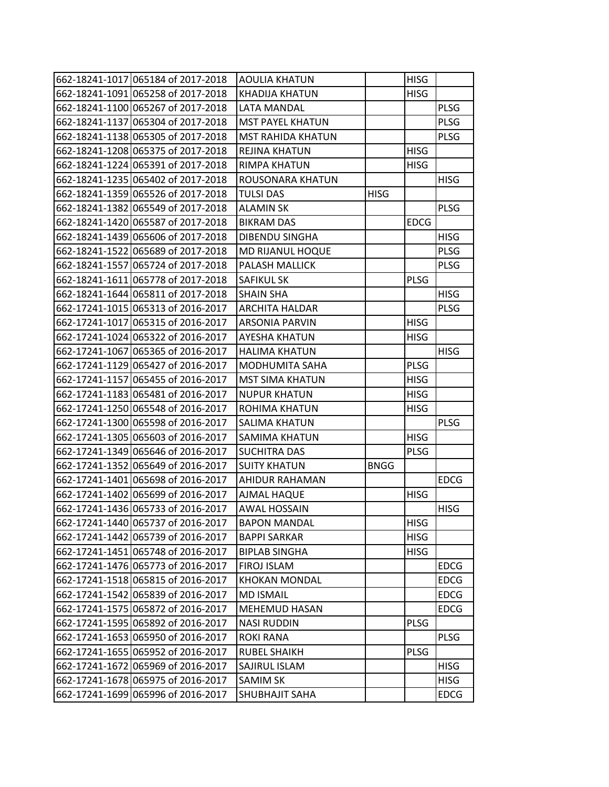| 662-18241-1017 065184 of 2017-2018 | <b>AOULIA KHATUN</b>     |             | <b>HISG</b> |             |
|------------------------------------|--------------------------|-------------|-------------|-------------|
| 662-18241-1091 065258 of 2017-2018 | <b>KHADIJA KHATUN</b>    |             | <b>HISG</b> |             |
| 662-18241-1100 065267 of 2017-2018 | <b>LATA MANDAL</b>       |             |             | <b>PLSG</b> |
| 662-18241-1137 065304 of 2017-2018 | <b>MST PAYEL KHATUN</b>  |             |             | <b>PLSG</b> |
| 662-18241-1138 065305 of 2017-2018 | <b>MST RAHIDA KHATUN</b> |             |             | <b>PLSG</b> |
| 662-18241-1208 065375 of 2017-2018 | REJINA KHATUN            |             | HISG        |             |
| 662-18241-1224 065391 of 2017-2018 | RIMPA KHATUN             |             | <b>HISG</b> |             |
| 662-18241-1235 065402 of 2017-2018 | ROUSONARA KHATUN         |             |             | <b>HISG</b> |
| 662-18241-1359 065526 of 2017-2018 | <b>TULSI DAS</b>         | <b>HISG</b> |             |             |
| 662-18241-1382 065549 of 2017-2018 | ALAMIN SK                |             |             | <b>PLSG</b> |
| 662-18241-1420 065587 of 2017-2018 | <b>BIKRAM DAS</b>        |             | <b>EDCG</b> |             |
| 662-18241-1439 065606 of 2017-2018 | DIBENDU SINGHA           |             |             | <b>HISG</b> |
| 662-18241-1522 065689 of 2017-2018 | MD RIJANUL HOQUE         |             |             | <b>PLSG</b> |
| 662-18241-1557 065724 of 2017-2018 | PALASH MALLICK           |             |             | <b>PLSG</b> |
| 662-18241-1611 065778 of 2017-2018 | <b>SAFIKUL SK</b>        |             | <b>PLSG</b> |             |
| 662-18241-1644 065811 of 2017-2018 | SHAIN SHA                |             |             | <b>HISG</b> |
| 662-17241-1015 065313 of 2016-2017 | <b>ARCHITA HALDAR</b>    |             |             | <b>PLSG</b> |
| 662-17241-1017 065315 of 2016-2017 | ARSONIA PARVIN           |             | <b>HISG</b> |             |
| 662-17241-1024 065322 of 2016-2017 | AYESHA KHATUN            |             | HISG        |             |
| 662-17241-1067 065365 of 2016-2017 | <b>HALIMA KHATUN</b>     |             |             | <b>HISG</b> |
| 662-17241-1129 065427 of 2016-2017 | MODHUMITA SAHA           |             | <b>PLSG</b> |             |
| 662-17241-1157 065455 of 2016-2017 | <b>MST SIMA KHATUN</b>   |             | <b>HISG</b> |             |
| 662-17241-1183 065481 of 2016-2017 | <b>NUPUR KHATUN</b>      |             | <b>HISG</b> |             |
| 662-17241-1250 065548 of 2016-2017 | ROHIMA KHATUN            |             | HISG        |             |
| 662-17241-1300 065598 of 2016-2017 | SALIMA KHATUN            |             |             | <b>PLSG</b> |
| 662-17241-1305 065603 of 2016-2017 | SAMIMA KHATUN            |             | <b>HISG</b> |             |
| 662-17241-1349 065646 of 2016-2017 | <b>SUCHITRA DAS</b>      |             | <b>PLSG</b> |             |
| 662-17241-1352 065649 of 2016-2017 | <b>SUITY KHATUN</b>      | <b>BNGG</b> |             |             |
| 662-17241-1401 065698 of 2016-2017 | AHIDUR RAHAMAN           |             |             | <b>EDCG</b> |
| 662-17241-1402 065699 of 2016-2017 | AJMAL HAQUE              |             | <b>HISG</b> |             |
| 662-17241-1436 065733 of 2016-2017 | AWAL HOSSAIN             |             |             | <b>HISG</b> |
| 662-17241-1440 065737 of 2016-2017 | <b>BAPON MANDAL</b>      |             | <b>HISG</b> |             |
| 662-17241-1442 065739 of 2016-2017 | <b>BAPPI SARKAR</b>      |             | <b>HISG</b> |             |
| 662-17241-1451 065748 of 2016-2017 | <b>BIPLAB SINGHA</b>     |             | <b>HISG</b> |             |
| 662-17241-1476 065773 of 2016-2017 | FIROJ ISLAM              |             |             | <b>EDCG</b> |
| 662-17241-1518 065815 of 2016-2017 | <b>KHOKAN MONDAL</b>     |             |             | <b>EDCG</b> |
| 662-17241-1542 065839 of 2016-2017 | <b>MD ISMAIL</b>         |             |             | <b>EDCG</b> |
| 662-17241-1575 065872 of 2016-2017 | <b>MEHEMUD HASAN</b>     |             |             | <b>EDCG</b> |
| 662-17241-1595 065892 of 2016-2017 | <b>NASI RUDDIN</b>       |             | <b>PLSG</b> |             |
| 662-17241-1653 065950 of 2016-2017 | <b>ROKI RANA</b>         |             |             | <b>PLSG</b> |
| 662-17241-1655 065952 of 2016-2017 | <b>RUBEL SHAIKH</b>      |             | <b>PLSG</b> |             |
| 662-17241-1672 065969 of 2016-2017 | SAJIRUL ISLAM            |             |             | <b>HISG</b> |
| 662-17241-1678 065975 of 2016-2017 | <b>SAMIM SK</b>          |             |             | <b>HISG</b> |
| 662-17241-1699 065996 of 2016-2017 | SHUBHAJIT SAHA           |             |             | <b>EDCG</b> |